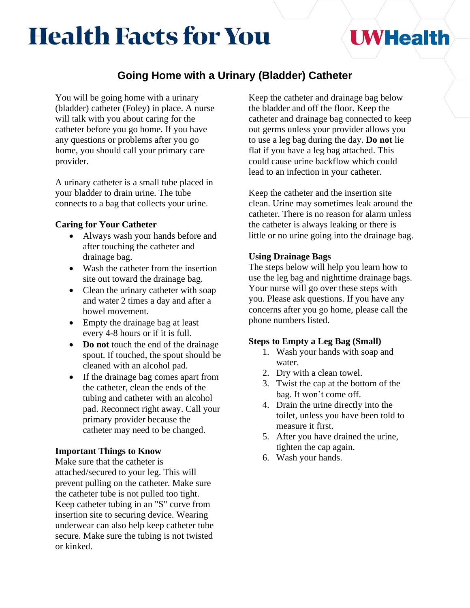# **Health Facts for You**

## **UWHealth**

### **Going Home with a Urinary (Bladder) Catheter**

You will be going home with a urinary (bladder) catheter (Foley) in place. A nurse will talk with you about caring for the catheter before you go home. If you have any questions or problems after you go home, you should call your primary care provider.

A urinary catheter is a small tube placed in your bladder to drain urine. The tube connects to a bag that collects your urine.

#### **Caring for Your Catheter**

- Always wash your hands before and after touching the catheter and drainage bag.
- Wash the catheter from the insertion site out toward the drainage bag.
- Clean the urinary catheter with soap and water 2 times a day and after a bowel movement.
- Empty the drainage bag at least every 4-8 hours or if it is full.
- **Do not** touch the end of the drainage spout. If touched, the spout should be cleaned with an alcohol pad.
- If the drainage bag comes apart from the catheter, clean the ends of the tubing and catheter with an alcohol pad. Reconnect right away. Call your primary provider because the catheter may need to be changed.

#### **Important Things to Know**

Make sure that the catheter is attached/secured to your leg. This will prevent pulling on the catheter. Make sure the catheter tube is not pulled too tight. Keep catheter tubing in an "S" curve from insertion site to securing device. Wearing underwear can also help keep catheter tube secure. Make sure the tubing is not twisted or kinked.

Keep the catheter and drainage bag below the bladder and off the floor. Keep the catheter and drainage bag connected to keep out germs unless your provider allows you to use a leg bag during the day. **Do not** lie flat if you have a leg bag attached. This could cause urine backflow which could lead to an infection in your catheter.

Keep the catheter and the insertion site clean. Urine may sometimes leak around the catheter. There is no reason for alarm unless the catheter is always leaking or there is little or no urine going into the drainage bag.

#### **Using Drainage Bags**

The steps below will help you learn how to use the leg bag and nighttime drainage bags. Your nurse will go over these steps with you. Please ask questions. If you have any concerns after you go home, please call the phone numbers listed.

#### **Steps to Empty a Leg Bag (Small)**

- 1. Wash your hands with soap and water.
- 2. Dry with a clean towel.
- 3. Twist the cap at the bottom of the bag. It won't come off.
- 4. Drain the urine directly into the toilet, unless you have been told to measure it first.
- 5. After you have drained the urine, tighten the cap again.
- 6. Wash your hands.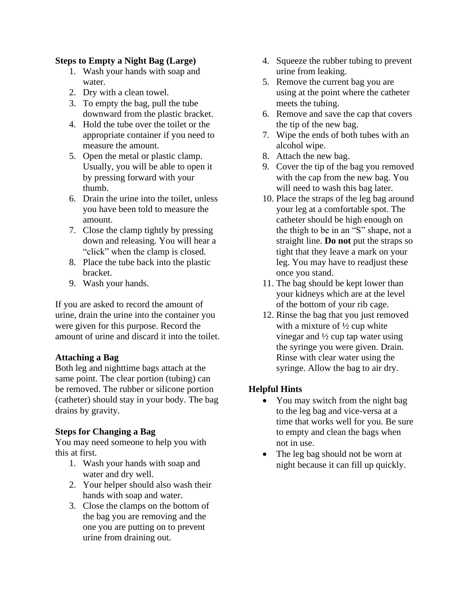#### **Steps to Empty a Night Bag (Large)**

- 1. Wash your hands with soap and water.
- 2. Dry with a clean towel.
- 3. To empty the bag, pull the tube downward from the plastic bracket.
- 4. Hold the tube over the toilet or the appropriate container if you need to measure the amount.
- 5. Open the metal or plastic clamp. Usually, you will be able to open it by pressing forward with your thumb.
- 6. Drain the urine into the toilet, unless you have been told to measure the amount.
- 7. Close the clamp tightly by pressing down and releasing. You will hear a "click" when the clamp is closed.
- 8. Place the tube back into the plastic bracket.
- 9. Wash your hands.

If you are asked to record the amount of urine, drain the urine into the container you were given for this purpose. Record the amount of urine and discard it into the toilet.

#### **Attaching a Bag**

Both leg and nighttime bags attach at the same point. The clear portion (tubing) can be removed. The rubber or silicone portion (catheter) should stay in your body. The bag drains by gravity.

#### **Steps for Changing a Bag**

You may need someone to help you with this at first.

- 1. Wash your hands with soap and water and dry well.
- 2. Your helper should also wash their hands with soap and water.
- 3. Close the clamps on the bottom of the bag you are removing and the one you are putting on to prevent urine from draining out.
- 4. Squeeze the rubber tubing to prevent urine from leaking.
- 5. Remove the current bag you are using at the point where the catheter meets the tubing.
- 6. Remove and save the cap that covers the tip of the new bag.
- 7. Wipe the ends of both tubes with an alcohol wipe.
- 8. Attach the new bag.
- 9. Cover the tip of the bag you removed with the cap from the new bag. You will need to wash this bag later.
- 10. Place the straps of the leg bag around your leg at a comfortable spot. The catheter should be high enough on the thigh to be in an "S" shape, not a straight line. **Do not** put the straps so tight that they leave a mark on your leg. You may have to readjust these once you stand.
- 11. The bag should be kept lower than your kidneys which are at the level of the bottom of your rib cage.
- 12. Rinse the bag that you just removed with a mixture of  $\frac{1}{2}$  cup white vinegar and ½ cup tap water using the syringe you were given. Drain. Rinse with clear water using the syringe. Allow the bag to air dry.

#### **Helpful Hints**

- You may switch from the night bag to the leg bag and vice-versa at a time that works well for you. Be sure to empty and clean the bags when not in use.
- The leg bag should not be worn at night because it can fill up quickly.